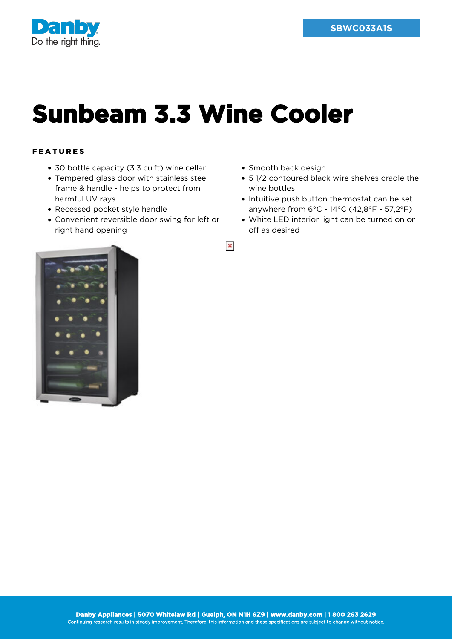

## **Sunbeam 3.3 Wine Cooler**

## FEATURES

- 30 bottle capacity (3.3 cu.ft) wine cellar
- Tempered glass door with stainless steel frame & handle - helps to protect from harmful UV rays
- Recessed pocket style handle
- Convenient reversible door swing for left or right hand opening
- Smooth back design
- 5 1/2 contoured black wire shelves cradle the wine bottles
- Intuitive push button thermostat can be set anywhere from 6°C - 14°C (42,8°F - 57,2°F)
- White LED interior light can be turned on or off as desired



 $\pmb{\times}$